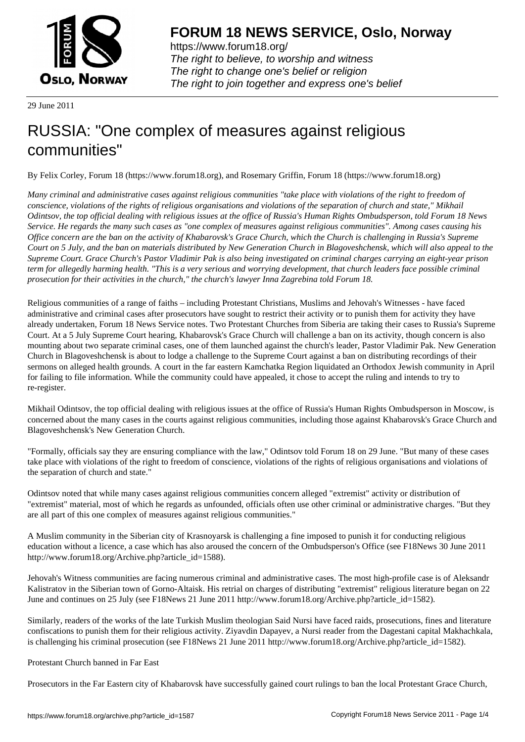

https://www.forum18.org/ The right to believe, to worship and witness The right to change one's belief or religion [The right to join together a](https://www.forum18.org/)nd express one's belief

29 June 2011

# [RUSSIA: "One](https://www.forum18.org) complex of measures against religious communities"

By Felix Corley, Forum 18 (https://www.forum18.org), and Rosemary Griffin, Forum 18 (https://www.forum18.org)

*Many criminal and administrative cases against religious communities "take place with violations of the right to freedom of conscience, violations of the rights of religious organisations and violations of the separation of church and state," Mikhail Odintsov, the top official dealing with religious issues at the office of Russia's Human Rights Ombudsperson, told Forum 18 News Service. He regards the many such cases as "one complex of measures against religious communities". Among cases causing his Office concern are the ban on the activity of Khabarovsk's Grace Church, which the Church is challenging in Russia's Supreme Court on 5 July, and the ban on materials distributed by New Generation Church in Blagoveshchensk, which will also appeal to the Supreme Court. Grace Church's Pastor Vladimir Pak is also being investigated on criminal charges carrying an eight-year prison term for allegedly harming health. "This is a very serious and worrying development, that church leaders face possible criminal prosecution for their activities in the church," the church's lawyer Inna Zagrebina told Forum 18.*

Religious communities of a range of faiths – including Protestant Christians, Muslims and Jehovah's Witnesses - have faced administrative and criminal cases after prosecutors have sought to restrict their activity or to punish them for activity they have already undertaken, Forum 18 News Service notes. Two Protestant Churches from Siberia are taking their cases to Russia's Supreme Court. At a 5 July Supreme Court hearing, Khabarovsk's Grace Church will challenge a ban on its activity, though concern is also mounting about two separate criminal cases, one of them launched against the church's leader, Pastor Vladimir Pak. New Generation Church in Blagoveshchensk is about to lodge a challenge to the Supreme Court against a ban on distributing recordings of their sermons on alleged health grounds. A court in the far eastern Kamchatka Region liquidated an Orthodox Jewish community in April for failing to file information. While the community could have appealed, it chose to accept the ruling and intends to try to re-register.

Mikhail Odintsov, the top official dealing with religious issues at the office of Russia's Human Rights Ombudsperson in Moscow, is concerned about the many cases in the courts against religious communities, including those against Khabarovsk's Grace Church and Blagoveshchensk's New Generation Church.

"Formally, officials say they are ensuring compliance with the law," Odintsov told Forum 18 on 29 June. "But many of these cases take place with violations of the right to freedom of conscience, violations of the rights of religious organisations and violations of the separation of church and state."

Odintsov noted that while many cases against religious communities concern alleged "extremist" activity or distribution of "extremist" material, most of which he regards as unfounded, officials often use other criminal or administrative charges. "But they are all part of this one complex of measures against religious communities."

A Muslim community in the Siberian city of Krasnoyarsk is challenging a fine imposed to punish it for conducting religious education without a licence, a case which has also aroused the concern of the Ombudsperson's Office (see F18News 30 June 2011 http://www.forum18.org/Archive.php?article\_id=1588).

Jehovah's Witness communities are facing numerous criminal and administrative cases. The most high-profile case is of Aleksandr Kalistratov in the Siberian town of Gorno-Altaisk. His retrial on charges of distributing "extremist" religious literature began on 22 June and continues on 25 July (see F18News 21 June 2011 http://www.forum18.org/Archive.php?article\_id=1582).

Similarly, readers of the works of the late Turkish Muslim theologian Said Nursi have faced raids, prosecutions, fines and literature confiscations to punish them for their religious activity. Ziyavdin Dapayev, a Nursi reader from the Dagestani capital Makhachkala, is challenging his criminal prosecution (see F18News 21 June 2011 http://www.forum18.org/Archive.php?article\_id=1582).

## Protestant Church banned in Far East

Prosecutors in the Far Eastern city of Khabarovsk have successfully gained court rulings to ban the local Protestant Grace Church,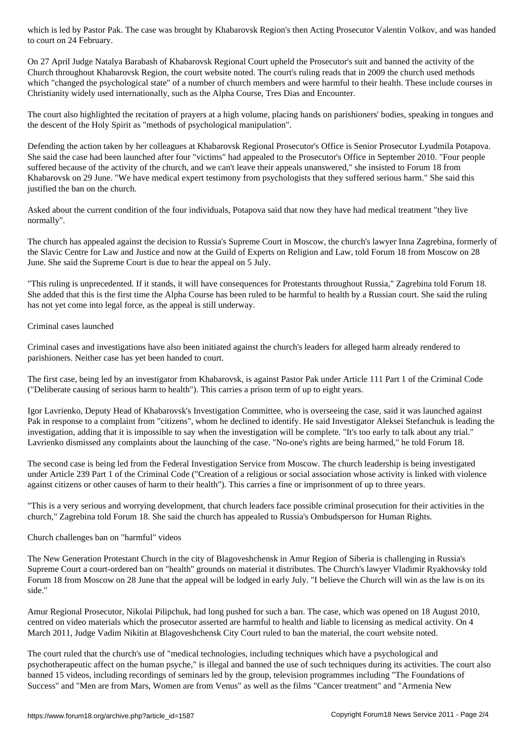## $\mathcal{L}_{\mathcal{A}}$

On 27 April Judge Natalya Barabash of Khabarovsk Regional Court upheld the Prosecutor's suit and banned the activity of the Church throughout Khabarovsk Region, the court website noted. The court's ruling reads that in 2009 the church used methods which "changed the psychological state" of a number of church members and were harmful to their health. These include courses in Christianity widely used internationally, such as the Alpha Course, Tres Dias and Encounter.

The court also highlighted the recitation of prayers at a high volume, placing hands on parishioners' bodies, speaking in tongues and the descent of the Holy Spirit as "methods of psychological manipulation".

Defending the action taken by her colleagues at Khabarovsk Regional Prosecutor's Office is Senior Prosecutor Lyudmila Potapova. She said the case had been launched after four "victims" had appealed to the Prosecutor's Office in September 2010. "Four people suffered because of the activity of the church, and we can't leave their appeals unanswered," she insisted to Forum 18 from Khabarovsk on 29 June. "We have medical expert testimony from psychologists that they suffered serious harm." She said this justified the ban on the church.

Asked about the current condition of the four individuals, Potapova said that now they have had medical treatment "they live normally".

The church has appealed against the decision to Russia's Supreme Court in Moscow, the church's lawyer Inna Zagrebina, formerly of the Slavic Centre for Law and Justice and now at the Guild of Experts on Religion and Law, told Forum 18 from Moscow on 28 June. She said the Supreme Court is due to hear the appeal on 5 July.

"This ruling is unprecedented. If it stands, it will have consequences for Protestants throughout Russia," Zagrebina told Forum 18. She added that this is the first time the Alpha Course has been ruled to be harmful to health by a Russian court. She said the ruling has not yet come into legal force, as the appeal is still underway.

#### Criminal cases launched

Criminal cases and investigations have also been initiated against the church's leaders for alleged harm already rendered to parishioners. Neither case has yet been handed to court.

The first case, being led by an investigator from Khabarovsk, is against Pastor Pak under Article 111 Part 1 of the Criminal Code ("Deliberate causing of serious harm to health"). This carries a prison term of up to eight years.

Igor Lavrienko, Deputy Head of Khabarovsk's Investigation Committee, who is overseeing the case, said it was launched against Pak in response to a complaint from "citizens", whom he declined to identify. He said Investigator Aleksei Stefanchuk is leading the investigation, adding that it is impossible to say when the investigation will be complete. "It's too early to talk about any trial." Lavrienko dismissed any complaints about the launching of the case. "No-one's rights are being harmed," he told Forum 18.

The second case is being led from the Federal Investigation Service from Moscow. The church leadership is being investigated under Article 239 Part 1 of the Criminal Code ("Creation of a religious or social association whose activity is linked with violence against citizens or other causes of harm to their health"). This carries a fine or imprisonment of up to three years.

"This is a very serious and worrying development, that church leaders face possible criminal prosecution for their activities in the church," Zagrebina told Forum 18. She said the church has appealed to Russia's Ombudsperson for Human Rights.

## Church challenges ban on "harmful" videos

The New Generation Protestant Church in the city of Blagoveshchensk in Amur Region of Siberia is challenging in Russia's Supreme Court a court-ordered ban on "health" grounds on material it distributes. The Church's lawyer Vladimir Ryakhovsky told Forum 18 from Moscow on 28 June that the appeal will be lodged in early July. "I believe the Church will win as the law is on its side."

Amur Regional Prosecutor, Nikolai Pilipchuk, had long pushed for such a ban. The case, which was opened on 18 August 2010, centred on video materials which the prosecutor asserted are harmful to health and liable to licensing as medical activity. On 4 March 2011, Judge Vadim Nikitin at Blagoveshchensk City Court ruled to ban the material, the court website noted.

The court ruled that the church's use of "medical technologies, including techniques which have a psychological and psychotherapeutic affect on the human psyche," is illegal and banned the use of such techniques during its activities. The court also banned 15 videos, including recordings of seminars led by the group, television programmes including "The Foundations of Success" and "Men are from Mars, Women are from Venus" as well as the films "Cancer treatment" and "Armenia New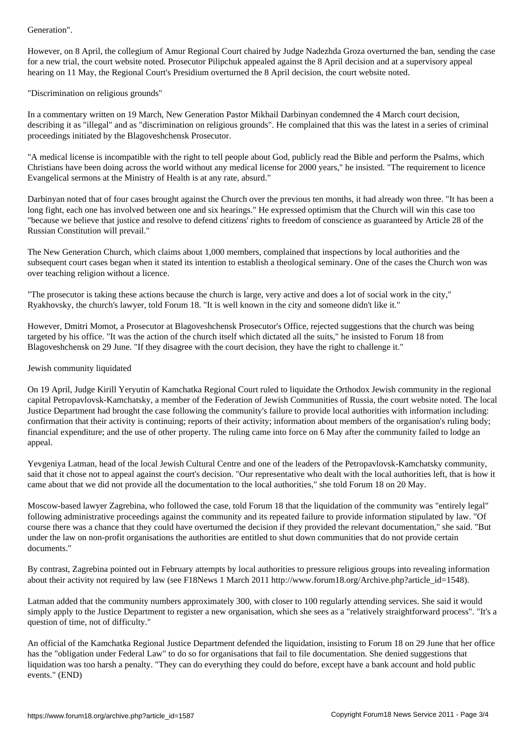However, on 8 April, the collegium of Amur Regional Court chaired by Judge Nadezhda Groza overturned the ban, sending the case for a new trial, the court website noted. Prosecutor Pilipchuk appealed against the 8 April decision and at a supervisory appeal hearing on 11 May, the Regional Court's Presidium overturned the 8 April decision, the court website noted.

"Discrimination on religious grounds"

In a commentary written on 19 March, New Generation Pastor Mikhail Darbinyan condemned the 4 March court decision, describing it as "illegal" and as "discrimination on religious grounds". He complained that this was the latest in a series of criminal proceedings initiated by the Blagoveshchensk Prosecutor.

"A medical license is incompatible with the right to tell people about God, publicly read the Bible and perform the Psalms, which Christians have been doing across the world without any medical license for 2000 years," he insisted. "The requirement to licence Evangelical sermons at the Ministry of Health is at any rate, absurd."

Darbinyan noted that of four cases brought against the Church over the previous ten months, it had already won three. "It has been a long fight, each one has involved between one and six hearings." He expressed optimism that the Church will win this case too "because we believe that justice and resolve to defend citizens' rights to freedom of conscience as guaranteed by Article 28 of the Russian Constitution will prevail."

The New Generation Church, which claims about 1,000 members, complained that inspections by local authorities and the subsequent court cases began when it stated its intention to establish a theological seminary. One of the cases the Church won was over teaching religion without a licence.

"The prosecutor is taking these actions because the church is large, very active and does a lot of social work in the city," Ryakhovsky, the church's lawyer, told Forum 18. "It is well known in the city and someone didn't like it."

However, Dmitri Momot, a Prosecutor at Blagoveshchensk Prosecutor's Office, rejected suggestions that the church was being targeted by his office. "It was the action of the church itself which dictated all the suits," he insisted to Forum 18 from Blagoveshchensk on 29 June. "If they disagree with the court decision, they have the right to challenge it."

# Jewish community liquidated

On 19 April, Judge Kirill Yeryutin of Kamchatka Regional Court ruled to liquidate the Orthodox Jewish community in the regional capital Petropavlovsk-Kamchatsky, a member of the Federation of Jewish Communities of Russia, the court website noted. The local Justice Department had brought the case following the community's failure to provide local authorities with information including: confirmation that their activity is continuing; reports of their activity; information about members of the organisation's ruling body; financial expenditure; and the use of other property. The ruling came into force on 6 May after the community failed to lodge an appeal.

Yevgeniya Latman, head of the local Jewish Cultural Centre and one of the leaders of the Petropavlovsk-Kamchatsky community, said that it chose not to appeal against the court's decision. "Our representative who dealt with the local authorities left, that is how it came about that we did not provide all the documentation to the local authorities," she told Forum 18 on 20 May.

Moscow-based lawyer Zagrebina, who followed the case, told Forum 18 that the liquidation of the community was "entirely legal" following administrative proceedings against the community and its repeated failure to provide information stipulated by law. "Of course there was a chance that they could have overturned the decision if they provided the relevant documentation," she said. "But under the law on non-profit organisations the authorities are entitled to shut down communities that do not provide certain documents."

By contrast, Zagrebina pointed out in February attempts by local authorities to pressure religious groups into revealing information about their activity not required by law (see F18News 1 March 2011 http://www.forum18.org/Archive.php?article\_id=1548).

Latman added that the community numbers approximately 300, with closer to 100 regularly attending services. She said it would simply apply to the Justice Department to register a new organisation, which she sees as a "relatively straightforward process". "It's a question of time, not of difficulty."

An official of the Kamchatka Regional Justice Department defended the liquidation, insisting to Forum 18 on 29 June that her office has the "obligation under Federal Law" to do so for organisations that fail to file documentation. She denied suggestions that liquidation was too harsh a penalty. "They can do everything they could do before, except have a bank account and hold public events." (END)